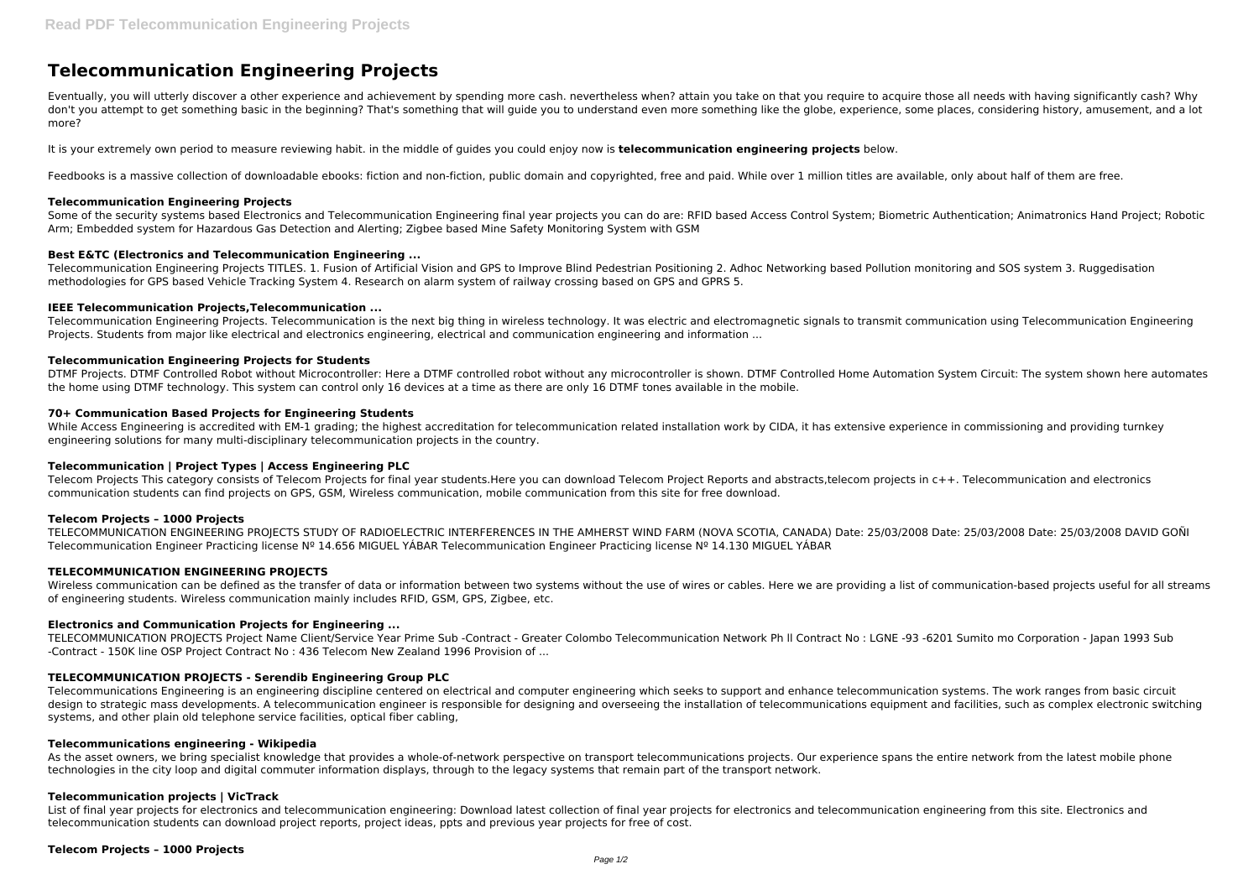# **Telecommunication Engineering Projects**

Eventually, you will utterly discover a other experience and achievement by spending more cash. nevertheless when? attain you take on that you require to acquire those all needs with having significantly cash? Why don't you attempt to get something basic in the beginning? That's something that will guide you to understand even more something like the globe, experience, some places, considering history, amusement, and a lot more?

It is your extremely own period to measure reviewing habit. in the middle of guides you could enjoy now is **telecommunication engineering projects** below.

Feedbooks is a massive collection of downloadable ebooks: fiction and non-fiction, public domain and copyrighted, free and paid. While over 1 million titles are available, only about half of them are free.

Some of the security systems based Electronics and Telecommunication Engineering final year projects you can do are: RFID based Access Control System; Biometric Authentication; Animatronics Hand Project; Robotic Arm; Embedded system for Hazardous Gas Detection and Alerting; Zigbee based Mine Safety Monitoring System with GSM

Telecommunication Engineering Projects. Telecommunication is the next big thing in wireless technology. It was electric and electromagnetic signals to transmit communication using Telecommunication Engineering Projects. Students from major like electrical and electronics engineering, electrical and communication engineering and information ...

# **Telecommunication Engineering Projects**

## **Best E&TC (Electronics and Telecommunication Engineering ...**

While Access Engineering is accredited with EM-1 grading; the highest accreditation for telecommunication related installation work by CIDA, it has extensive experience in commissioning and providing turnkey engineering solutions for many multi-disciplinary telecommunication projects in the country.

Telecommunication Engineering Projects TITLES. 1. Fusion of Artificial Vision and GPS to Improve Blind Pedestrian Positioning 2. Adhoc Networking based Pollution monitoring and SOS system 3. Ruggedisation methodologies for GPS based Vehicle Tracking System 4. Research on alarm system of railway crossing based on GPS and GPRS 5.

#### **IEEE Telecommunication Projects,Telecommunication ...**

Wireless communication can be defined as the transfer of data or information between two systems without the use of wires or cables. Here we are providing a list of communication-based projects useful for all streams of engineering students. Wireless communication mainly includes RFID, GSM, GPS, Zigbee, etc.

#### **Telecommunication Engineering Projects for Students**

DTMF Projects. DTMF Controlled Robot without Microcontroller: Here a DTMF controlled robot without any microcontroller is shown. DTMF Controlled Home Automation System Circuit: The system shown here automates the home using DTMF technology. This system can control only 16 devices at a time as there are only 16 DTMF tones available in the mobile.

#### **70+ Communication Based Projects for Engineering Students**

As the asset owners, we bring specialist knowledge that provides a whole-of-network perspective on transport telecommunications projects. Our experience spans the entire network from the latest mobile phone technologies in the city loop and digital commuter information displays, through to the legacy systems that remain part of the transport network.

List of final year projects for electronics and telecommunication engineering: Download latest collection of final year projects for electronics and telecommunication engineering from this site. Electronics and telecommunication students can download project reports, project ideas, ppts and previous year projects for free of cost.

# **Telecommunication | Project Types | Access Engineering PLC**

Telecom Projects This category consists of Telecom Projects for final year students.Here you can download Telecom Project Reports and abstracts,telecom projects in c++. Telecommunication and electronics communication students can find projects on GPS, GSM, Wireless communication, mobile communication from this site for free download.

#### **Telecom Projects – 1000 Projects**

TELECOMMUNICATION ENGINEERING PROJECTS STUDY OF RADIOELECTRIC INTERFERENCES IN THE AMHERST WIND FARM (NOVA SCOTIA, CANADA) Date: 25/03/2008 Date: 25/03/2008 Date: 25/03/2008 DAVID GOÑI Telecommunication Engineer Practicing license Nº 14.656 MIGUEL YÁBAR Telecommunication Engineer Practicing license Nº 14.130 MIGUEL YÁBAR

# **TELECOMMUNICATION ENGINEERING PROJECTS**

#### **Electronics and Communication Projects for Engineering ...**

TELECOMMUNICATION PROJECTS Project Name Client/Service Year Prime Sub -Contract - Greater Colombo Telecommunication Network Ph ll Contract No : LGNE -93 -6201 Sumito mo Corporation - Japan 1993 Sub -Contract - 150K line OSP Project Contract No : 436 Telecom New Zealand 1996 Provision of ...

# **TELECOMMUNICATION PROJECTS - Serendib Engineering Group PLC**

Telecommunications Engineering is an engineering discipline centered on electrical and computer engineering which seeks to support and enhance telecommunication systems. The work ranges from basic circuit design to strategic mass developments. A telecommunication engineer is responsible for designing and overseeing the installation of telecommunications equipment and facilities, such as complex electronic switching systems, and other plain old telephone service facilities, optical fiber cabling,

#### **Telecommunications engineering - Wikipedia**

# **Telecommunication projects | VicTrack**

# **Telecom Projects – 1000 Projects**